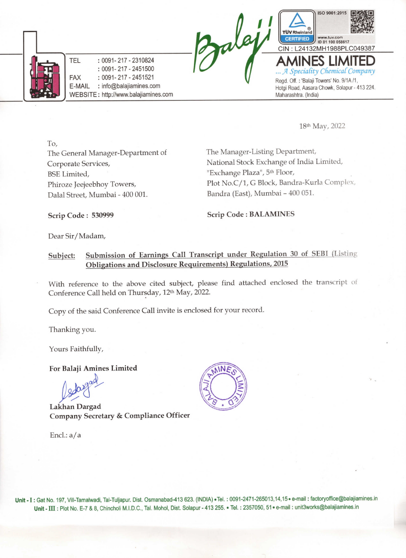

18th May, 2022

To, The General Manager-Department of Corporate Services, BSE Limited, Phiroze Jeejeebhoy Towers, Dalal Street, Mumbai -400 001.

The Manager-Listing Department, National Stock Exchange of India Limited, "Exchange Plaza", 5th Floor, Plot No.C/1, G Block, Bandra-Kurla Complex, Bandra (East), Mumbai - 400 051.

Scrip Code : 530999

Scrip Code : BALAMINES

Dear Sir/Madam,

### Subject: Submission of Earnings Call Transcript under Regulation 30 of SEBI (Listing Obligations and Disclosure Requirements) Regulations, 2015

With reference to the above cited subject, please find attached enclosed the transcript of Conference Call held on Thursday, 12th May, 2022.

Copy of the said Conference Call invite is enclosed for your record.

Thanking you.

Yours Faithfully,

For Balaji Amines Limited

Lakhan Dargad Company Secretary & Compliance Officer

Encl.: a/a



Unit - I : Gat No. 197, Vill-Tamalwadi, Tal-Tuljapur. Dist. Osmanabad-413 623. (INDIA) .Tel. : 0091-2471-265013,14,15 . e-mail : factoryoffice@balajiamines.in Unit - III : Plot No. E-7 & 8, Chincholi M.I.D.C., Tal. Mohol, Dist. Solapur - 413 255. · Tel. : 2357050, 51 · e-mail : unit3works@balajiamines.in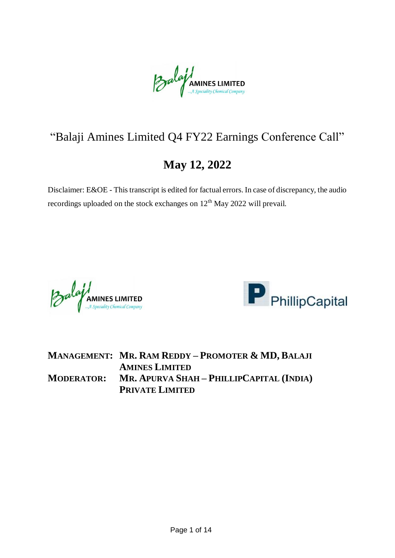Balaji AMINES LIMITED

# "Balaji Amines Limited Q4 FY22 Earnings Conference Call"

## **May 12, 2022**

Disclaimer: E&OE - This transcript is edited for factual errors. In case of discrepancy, the audio recordings uploaded on the stock exchanges on  $12<sup>th</sup>$  May 2022 will prevail.

**Balay AMINES LIMITED** 



**MANAGEMENT: MR. RAM REDDY – PROMOTER & MD, BALAJI AMINES LIMITED MODERATOR: MR. APURVA SHAH – PHILLIPCAPITAL (INDIA) PRIVATE LIMITED**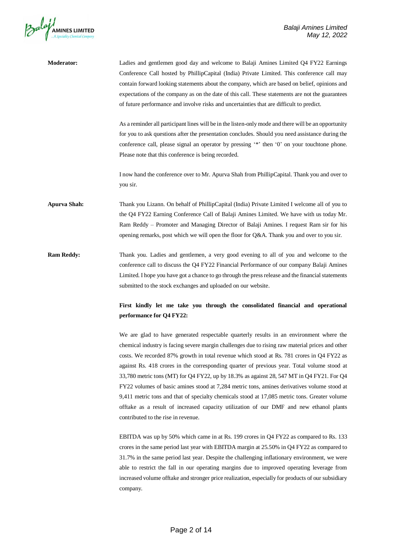

| <b>Moderator:</b>   | Ladies and gentlemen good day and welcome to Balaji Amines Limited Q4 FY22 Earnings<br>Conference Call hosted by PhillipCapital (India) Private Limited. This conference call may<br>contain forward looking statements about the company, which are based on belief, opinions and<br>expectations of the company as on the date of this call. These statements are not the guarantees<br>of future performance and involve risks and uncertainties that are difficult to predict.                                                                                                                                                                                                                                                                                                                                      |
|---------------------|-------------------------------------------------------------------------------------------------------------------------------------------------------------------------------------------------------------------------------------------------------------------------------------------------------------------------------------------------------------------------------------------------------------------------------------------------------------------------------------------------------------------------------------------------------------------------------------------------------------------------------------------------------------------------------------------------------------------------------------------------------------------------------------------------------------------------|
|                     | As a reminder all participant lines will be in the listen-only mode and there will be an opportunity<br>for you to ask questions after the presentation concludes. Should you need assistance during the<br>conference call, please signal an operator by pressing '*' then '0' on your touchtone phone.<br>Please note that this conference is being recorded.                                                                                                                                                                                                                                                                                                                                                                                                                                                         |
|                     | I now hand the conference over to Mr. Apurva Shah from PhillipCapital. Thank you and over to<br>you sir.                                                                                                                                                                                                                                                                                                                                                                                                                                                                                                                                                                                                                                                                                                                |
| <b>Apurva Shah:</b> | Thank you Lizann. On behalf of PhillipCapital (India) Private Limited I welcome all of you to<br>the Q4 FY22 Earning Conference Call of Balaji Amines Limited. We have with us today Mr.<br>Ram Reddy – Promoter and Managing Director of Balaji Amines. I request Ram sir for his<br>opening remarks, post which we will open the floor for Q&A. Thank you and over to you sir.                                                                                                                                                                                                                                                                                                                                                                                                                                        |
| <b>Ram Reddy:</b>   | Thank you. Ladies and gentlemen, a very good evening to all of you and welcome to the<br>conference call to discuss the Q4 FY22 Financial Performance of our company Balaji Amines<br>Limited. I hope you have got a chance to go through the press release and the financial statements<br>submitted to the stock exchanges and uploaded on our website.                                                                                                                                                                                                                                                                                                                                                                                                                                                               |
|                     | First kindly let me take you through the consolidated financial and operational<br>performance for Q4 FY22:                                                                                                                                                                                                                                                                                                                                                                                                                                                                                                                                                                                                                                                                                                             |
|                     | We are glad to have generated respectable quarterly results in an environment where the<br>chemical industry is facing severe margin challenges due to rising raw material prices and other<br>costs. We recorded 87% growth in total revenue which stood at Rs. 781 crores in Q4 FY22 as<br>against Rs. 418 crores in the corresponding quarter of previous year. Total volume stood at<br>33,780 metric tons (MT) for Q4 FY22, up by 18.3% as against 28, 547 MT in Q4 FY21. For Q4<br>FY22 volumes of basic amines stood at 7,284 metric tons, amines derivatives volume stood at<br>9,411 metric tons and that of specialty chemicals stood at 17,085 metric tons. Greater volume<br>offtake as a result of increased capacity utilization of our DMF and new ethanol plants<br>contributed to the rise in revenue. |
|                     | EBITDA was up by 50% which came in at Rs. 199 crores in Q4 FY22 as compared to Rs. 133<br>crores in the same period last year with EBITDA margin at 25.50% in Q4 FY22 as compared to<br>21.70/                                                                                                                                                                                                                                                                                                                                                                                                                                                                                                                                                                                                                          |

31.7% in the same period last year. Despite the challenging inflationary environment, we were able to restrict the fall in our operating margins due to improved operating leverage from increased volume offtake and stronger price realization, especially for products of our subsidiary company.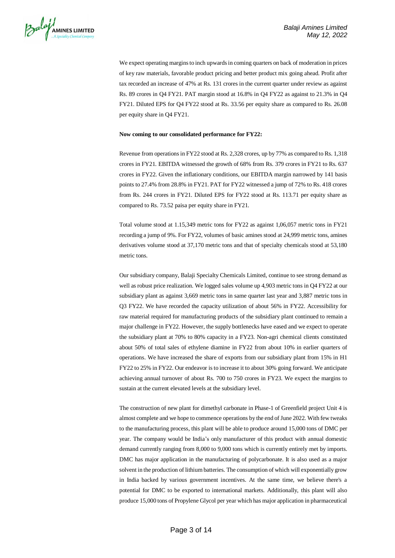

We expect operating margins to inch upwards in coming quarters on back of moderation in prices of key raw materials, favorable product pricing and better product mix going ahead. Profit after tax recorded an increase of 47% at Rs. 131 crores in the current quarter under review as against Rs. 89 crores in Q4 FY21. PAT margin stood at 16.8% in Q4 FY22 as against to 21.3% in Q4 FY21. Diluted EPS for Q4 FY22 stood at Rs. 33.56 per equity share as compared to Rs. 26.08 per equity share in Q4 FY21.

#### **Now coming to our consolidated performance for FY22:**

Revenue from operations in FY22 stood at Rs. 2,328 crores, up by 77% as compared to Rs. 1,318 crores in FY21. EBITDA witnessed the growth of 68% from Rs. 379 crores in FY21 to Rs. 637 crores in FY22. Given the inflationary conditions, our EBITDA margin narrowed by 141 basis points to 27.4% from 28.8% in FY21. PAT for FY22 witnessed a jump of 72% to Rs. 418 crores from Rs. 244 crores in FY21. Diluted EPS for FY22 stood at Rs. 113.71 per equity share as compared to Rs. 73.52 paisa per equity share in FY21.

Total volume stood at 1.15,349 metric tons for FY22 as against 1,06,057 metric tons in FY21 recording a jump of 9%. For FY22, volumes of basic amines stood at 24,999 metric tons, amines derivatives volume stood at 37,170 metric tons and that of specialty chemicals stood at 53,180 metric tons.

Our subsidiary company, Balaji Specialty Chemicals Limited, continue to see strong demand as well as robust price realization. We logged sales volume up 4,903 metric tons in Q4 FY22 at our subsidiary plant as against 3,669 metric tons in same quarter last year and 3,887 metric tons in Q3 FY22. We have recorded the capacity utilization of about 56% in FY22. Accessibility for raw material required for manufacturing products of the subsidiary plant continued to remain a major challenge in FY22. However, the supply bottlenecks have eased and we expect to operate the subsidiary plant at 70% to 80% capacity in a FY23. Non-agri chemical clients constituted about 50% of total sales of ethylene diamine in FY22 from about 10% in earlier quarters of operations. We have increased the share of exports from our subsidiary plant from 15% in H1 FY22 to 25% in FY22. Our endeavor is to increase it to about 30% going forward. We anticipate achieving annual turnover of about Rs. 700 to 750 crores in FY23. We expect the margins to sustain at the current elevated levels at the subsidiary level.

The construction of new plant for dimethyl carbonate in Phase-1 of Greenfield project Unit 4 is almost complete and we hope to commence operations by the end of June 2022. With few tweaks to the manufacturing process, this plant will be able to produce around 15,000 tons of DMC per year. The company would be India's only manufacturer of this product with annual domestic demand currently ranging from 8,000 to 9,000 tons which is currently entirely met by imports. DMC has major application in the manufacturing of polycarbonate. It is also used as a major solvent in the production of lithium batteries. The consumption of which will exponentially grow in India backed by various government incentives. At the same time, we believe there's a potential for DMC to be exported to international markets. Additionally, this plant will also produce 15,000 tons of Propylene Glycol per year which has major application in pharmaceutical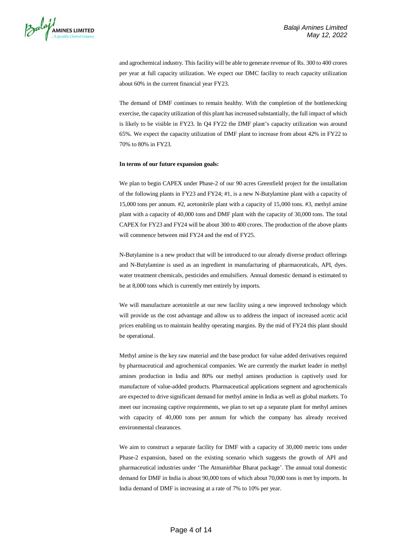

and agrochemical industry. This facility will be able to generate revenue of Rs. 300 to 400 crores per year at full capacity utilization. We expect our DMC facility to reach capacity utilization about 60% in the current financial year FY23.

The demand of DMF continues to remain healthy. With the completion of the bottlenecking exercise, the capacity utilization of this plant has increased substantially, the full impact of which is likely to be visible in FY23. In Q4 FY22 the DMF plant's capacity utilization was around 65%. We expect the capacity utilization of DMF plant to increase from about 42% in FY22 to 70% to 80% in FY23.

### **In terms of our future expansion goals:**

We plan to begin CAPEX under Phase-2 of our 90 acres Greenfield project for the installation of the following plants in FY23 and FY24; #1, is a new N-Butylamine plant with a capacity of 15,000 tons per annum. #2, acetonitrile plant with a capacity of 15,000 tons. #3, methyl amine plant with a capacity of 40,000 tons and DMF plant with the capacity of 30,000 tons. The total CAPEX for FY23 and FY24 will be about 300 to 400 crores. The production of the above plants will commence between mid FY24 and the end of FY25.

N-Butylamine is a new product that will be introduced to our already diverse product offerings and N-Butylamine is used as an ingredient in manufacturing of pharmaceuticals, API, dyes. water treatment chemicals, pesticides and emulsifiers. Annual domestic demand is estimated to be at 8,000 tons which is currently met entirely by imports.

We will manufacture acetonitrile at our new facility using a new improved technology which will provide us the cost advantage and allow us to address the impact of increased acetic acid prices enabling us to maintain healthy operating margins. By the mid of FY24 this plant should be operational.

Methyl amine is the key raw material and the base product for value added derivatives required by pharmaceutical and agrochemical companies. We are currently the market leader in methyl amines production in India and 80% our methyl amines production is captively used for manufacture of value-added products. Pharmaceutical applications segment and agrochemicals are expected to drive significant demand for methyl amine in India as well as global markets. To meet our increasing captive requirements, we plan to set up a separate plant for methyl amines with capacity of 40,000 tons per annum for which the company has already received environmental clearances.

We aim to construct a separate facility for DMF with a capacity of 30,000 metric tons under Phase-2 expansion, based on the existing scenario which suggests the growth of API and pharmaceutical industries under 'The Atmanirbhar Bharat package'. The annual total domestic demand for DMF in India is about 90,000 tons of which about 70,000 tons is met by imports. In India demand of DMF is increasing at a rate of 7% to 10% per year.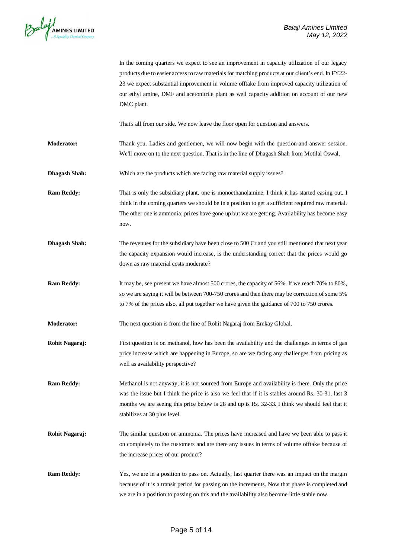

|                      | In the coming quarters we expect to see an improvement in capacity utilization of our legacy<br>products due to easier access to raw materials for matching products at our client's end. In FY22-<br>23 we expect substantial improvement in volume offtake from improved capacity utilization of<br>our ethyl amine, DMF and acetonitrile plant as well capacity addition on account of our new<br>DMC plant. |
|----------------------|-----------------------------------------------------------------------------------------------------------------------------------------------------------------------------------------------------------------------------------------------------------------------------------------------------------------------------------------------------------------------------------------------------------------|
|                      | That's all from our side. We now leave the floor open for question and answers.                                                                                                                                                                                                                                                                                                                                 |
| Moderator:           | Thank you. Ladies and gentlemen, we will now begin with the question-and-answer session.<br>We'll move on to the next question. That is in the line of Dhagash Shah from Motilal Oswal.                                                                                                                                                                                                                         |
| <b>Dhagash Shah:</b> | Which are the products which are facing raw material supply issues?                                                                                                                                                                                                                                                                                                                                             |
| <b>Ram Reddy:</b>    | That is only the subsidiary plant, one is monoethanolamine. I think it has started easing out. I<br>think in the coming quarters we should be in a position to get a sufficient required raw material.<br>The other one is ammonia; prices have gone up but we are getting. Availability has become easy<br>now.                                                                                                |
| <b>Dhagash Shah:</b> | The revenues for the subsidiary have been close to 500 Cr and you still mentioned that next year<br>the capacity expansion would increase, is the understanding correct that the prices would go<br>down as raw material costs moderate?                                                                                                                                                                        |
| <b>Ram Reddy:</b>    | It may be, see present we have almost 500 crores, the capacity of 56%. If we reach 70% to 80%,<br>so we are saying it will be between 700-750 crores and then there may be correction of some 5%<br>to 7% of the prices also, all put together we have given the guidance of 700 to 750 crores.                                                                                                                 |
| <b>Moderator:</b>    | The next question is from the line of Rohit Nagaraj from Emkay Global.                                                                                                                                                                                                                                                                                                                                          |
| Rohit Nagaraj:       | First question is on methanol, how has been the availability and the challenges in terms of gas<br>price increase which are happening in Europe, so are we facing any challenges from pricing as<br>well as availability perspective?                                                                                                                                                                           |
| <b>Ram Reddy:</b>    | Methanol is not anyway; it is not sourced from Europe and availability is there. Only the price<br>was the issue but I think the price is also we feel that if it is stables around Rs. 30-31, last 3<br>months we are seeing this price below is 28 and up is Rs. 32-33. I think we should feel that it<br>stabilizes at 30 plus level.                                                                        |
| Rohit Nagaraj:       | The similar question on ammonia. The prices have increased and have we been able to pass it<br>on completely to the customers and are there any issues in terms of volume offtake because of<br>the increase prices of our product?                                                                                                                                                                             |
| <b>Ram Reddy:</b>    | Yes, we are in a position to pass on. Actually, last quarter there was an impact on the margin<br>because of it is a transit period for passing on the increments. Now that phase is completed and<br>we are in a position to passing on this and the availability also become little stable now.                                                                                                               |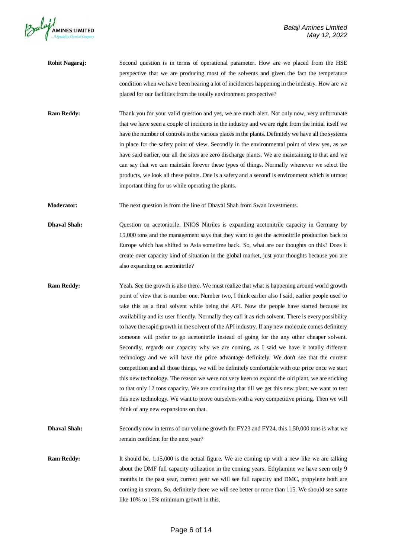

- **Rohit Nagaraj:** Second question is in terms of operational parameter. How are we placed from the HSE perspective that we are producing most of the solvents and given the fact the temperature condition when we have been hearing a lot of incidences happening in the industry. How are we placed for our facilities from the totally environment perspective?
- **Ram Reddy:** Thank you for your valid question and yes, we are much alert. Not only now, very unfortunate that we have seen a couple of incidents in the industry and we are right from the initial itself we have the number of controls in the various places in the plants. Definitely we have all the systems in place for the safety point of view. Secondly in the environmental point of view yes, as we have said earlier, our all the sites are zero discharge plants. We are maintaining to that and we can say that we can maintain forever these types of things. Normally whenever we select the products, we look all these points. One is a safety and a second is environment which is utmost important thing for us while operating the plants.
- **Moderator:** The next question is from the line of Dhaval Shah from Swan Investments.
- **Dhaval Shah:** Question on acetonitrile. INIOS Nitriles is expanding acetonitrile capacity in Germany by 15,000 tons and the management says that they want to get the acetonitrile production back to Europe which has shifted to Asia sometime back. So, what are our thoughts on this? Does it create over capacity kind of situation in the global market, just your thoughts because you are also expanding on acetonitrile?
- **Ram Reddy:** Yeah. See the growth is also there. We must realize that what is happening around world growth point of view that is number one. Number two, I think earlier also I said, earlier people used to take this as a final solvent while being the API. Now the people have started because its availability and its user friendly. Normally they call it as rich solvent. There is every possibility to have the rapid growth in the solvent of the API industry. If any new molecule comes definitely someone will prefer to go acetonitrile instead of going for the any other cheaper solvent. Secondly, regards our capacity why we are coming, as I said we have it totally different technology and we will have the price advantage definitely. We don't see that the current competition and all those things, we will be definitely comfortable with our price once we start this new technology. The reason we were not very keen to expand the old plant, we are sticking to that only 12 tons capacity. We are continuing that till we get this new plant; we want to test this new technology. We want to prove ourselves with a very competitive pricing. Then we will think of any new expansions on that.
- **Dhaval Shah:** Secondly now in terms of our volume growth for FY23 and FY24, this 1,50,000 tons is what we remain confident for the next year?
- **Ram Reddy:** It should be, 1,15,000 is the actual figure. We are coming up with a new like we are talking about the DMF full capacity utilization in the coming years. Ethylamine we have seen only 9 months in the past year, current year we will see full capacity and DMC, propylene both are coming in stream. So, definitely there we will see better or more than 115. We should see same like 10% to 15% minimum growth in this.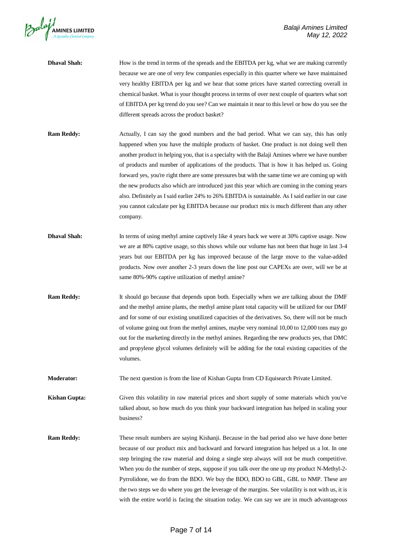

| <b>Dhaval Shah:</b>  | How is the trend in terms of the spreads and the EBITDA per kg, what we are making currently<br>because we are one of very few companies especially in this quarter where we have maintained<br>very healthy EBITDA per kg and we hear that some prices have started correcting overall in<br>chemical basket. What is your thought process in terms of over next couple of quarters what sort<br>of EBITDA per kg trend do you see? Can we maintain it near to this level or how do you see the<br>different spreads across the product basket?                                                                                                                                                                                                                                                              |
|----------------------|---------------------------------------------------------------------------------------------------------------------------------------------------------------------------------------------------------------------------------------------------------------------------------------------------------------------------------------------------------------------------------------------------------------------------------------------------------------------------------------------------------------------------------------------------------------------------------------------------------------------------------------------------------------------------------------------------------------------------------------------------------------------------------------------------------------|
| <b>Ram Reddy:</b>    | Actually, I can say the good numbers and the bad period. What we can say, this has only<br>happened when you have the multiple products of basket. One product is not doing well then<br>another product in helping you, that is a specialty with the Balaji Amines where we have number<br>of products and number of applications of the products. That is how it has helped us. Going<br>forward yes, you're right there are some pressures but with the same time we are coming up with<br>the new products also which are introduced just this year which are coming in the coming years<br>also. Definitely as I said earlier 24% to 26% EBITDA is sustainable. As I said earlier in our case<br>you cannot calculate per kg EBITDA because our product mix is much different than any other<br>company. |
| <b>Dhaval Shah:</b>  | In terms of using methyl amine captively like 4 years back we were at 30% captive usage. Now<br>we are at 80% captive usage, so this shows while our volume has not been that huge in last 3-4<br>years but our EBITDA per kg has improved because of the large move to the value-added<br>products. Now over another 2-3 years down the line post our CAPEXs are over, will we be at<br>same 80%-90% captive utilization of methyl amine?                                                                                                                                                                                                                                                                                                                                                                    |
| <b>Ram Reddy:</b>    | It should go because that depends upon both. Especially when we are talking about the DMF<br>and the methyl amine plants, the methyl amine plant total capacity will be utilized for our DMF<br>and for some of our existing unutilized capacities of the derivatives. So, there will not be much<br>of volume going out from the methyl amines, maybe very nominal 10,00 to 12,000 tons may go<br>out for the marketing directly in the methyl amines. Regarding the new products yes, that DMC<br>and propylene glycol volumes definitely will be adding for the total existing capacities of the<br>volumes.                                                                                                                                                                                               |
| Moderator:           | The next question is from the line of Kishan Gupta from CD Equisearch Private Limited.                                                                                                                                                                                                                                                                                                                                                                                                                                                                                                                                                                                                                                                                                                                        |
| <b>Kishan Gupta:</b> | Given this volatility in raw material prices and short supply of some materials which you've<br>talked about, so how much do you think your backward integration has helped in scaling your<br>business?                                                                                                                                                                                                                                                                                                                                                                                                                                                                                                                                                                                                      |
| <b>Ram Reddy:</b>    | These result numbers are saying Kishanji. Because in the bad period also we have done better<br>because of our product mix and backward and forward integration has helped us a lot. In one<br>step bringing the raw material and doing a single step always will not be much competitive.<br>When you do the number of steps, suppose if you talk over the one up my product N-Methyl-2-<br>Pyrrolidone, we do from the BDO. We buy the BDO, BDO to GBL, GBL to NMP. These are<br>the two steps we do where you get the leverage of the margins. See volatility is not with us, it is<br>with the entire world is facing the situation today. We can say we are in much advantageous                                                                                                                         |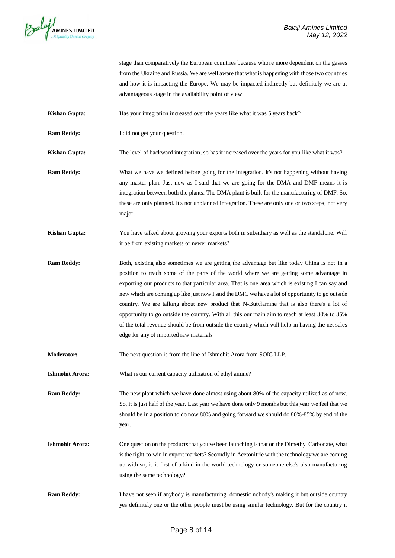

stage than comparatively the European countries because who're more dependent on the gasses from the Ukraine and Russia. We are well aware that what is happening with those two countries and how it is impacting the Europe. We may be impacted indirectly but definitely we are at advantageous stage in the availability point of view.

**Kishan Gupta:** Has your integration increased over the years like what it was 5 years back?

**Ram Reddy:** I did not get your question.

**Kishan Gupta:** The level of backward integration, so has it increased over the years for you like what it was?

- **Ram Reddy:** What we have we defined before going for the integration. It's not happening without having any master plan. Just now as I said that we are going for the DMA and DMF means it is integration between both the plants. The DMA plant is built for the manufacturing of DMF. So, these are only planned. It's not unplanned integration. These are only one or two steps, not very major.
- **Kishan Gupta:** You have talked about growing your exports both in subsidiary as well as the standalone. Will it be from existing markets or newer markets?
- **Ram Reddy:** Both, existing also sometimes we are getting the advantage but like today China is not in a position to reach some of the parts of the world where we are getting some advantage in exporting our products to that particular area. That is one area which is existing I can say and new which are coming up like just now I said the DMC we have a lot of opportunity to go outside country. We are talking about new product that N-Butylamine that is also there's a lot of opportunity to go outside the country. With all this our main aim to reach at least 30% to 35% of the total revenue should be from outside the country which will help in having the net sales edge for any of imported raw materials.
- **Moderator:** The next question is from the line of Ishmohit Arora from SOIC LLP.
- **Ishmohit Arora:** What is our current capacity utilization of ethyl amine?

**Ram Reddy:** The new plant which we have done almost using about 80% of the capacity utilized as of now. So, it is just half of the year. Last year we have done only 9 months but this year we feel that we should be in a position to do now 80% and going forward we should do 80%-85% by end of the year.

- **Ishmohit Arora:** One question on the products that you've been launching is that on the Dimethyl Carbonate, what is the right-to-win in export markets? Secondly in Acetonitrle with the technology we are coming up with so, is it first of a kind in the world technology or someone else's also manufacturing using the same technology?
- **Ram Reddy:** I have not seen if anybody is manufacturing, domestic nobody's making it but outside country yes definitely one or the other people must be using similar technology. But for the country it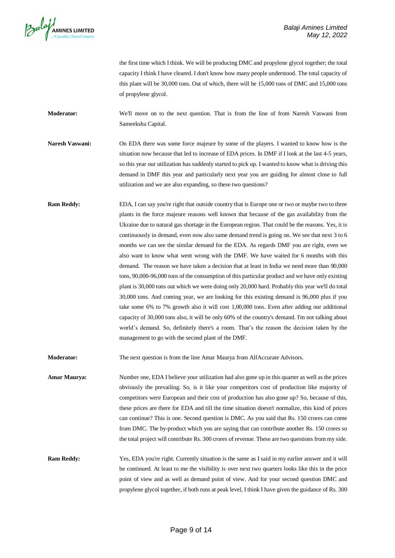

the first time which I think. We will be producing DMC and propylene glycol together; the total capacity I think I have cleared. I don't know how many people understood. The total capacity of this plant will be 30,000 tons. Out of which, there will be 15,000 tons of DMC and 15,000 tons of propylene glycol.

**Moderator:** We'll move on to the next question. That is from the line of from Naresh Vaswani from Sameeksha Capital.

**Naresh Vaswani:** On EDA there was some force majeure by some of the players. I wanted to know how is the situation now because that led to increase of EDA prices. In DMF if I look at the last 4-5 years, so this year our utilization has suddenly started to pick up. I wanted to know what is driving this demand in DMF this year and particularly next year you are guiding for almost close to full utilization and we are also expanding, so these two questions?

**Ram Reddy:** EDA, I can say you're right that outside country that is Europe one or two or maybe two to three plants in the force majeure reasons well known that because of the gas availability from the Ukraine due to natural gas shortage in the European region. That could be the reasons. Yes, it is continuously in demand, even now also same demand trend is going on. We see that next 3 to 6 months we can see the similar demand for the EDA. As regards DMF you are right, even we also want to know what went wrong with the DMF. We have waited for 6 months with this demand. The reason we have taken a decision that at least in India we need more than 90,000 tons, 90,000-96,000 tons of the consumption of this particular product and we have only existing plant is 30,000 tons out which we were doing only 20,000 hard. Probably this year we'll do total 30,000 tons. And coming year, we are looking for this existing demand is 96,000 plus if you take some 6% to 7% growth also it will cost 1,00,000 tons. Even after adding our additional capacity of 30,000 tons also, it will be only 60% of the country's demand. I'm not talking about world's demand. So, definitely there's a room. That's the reason the decision taken by the management to go with the second plant of the DMF.

**Moderator:** The next question is from the line Amar Maurya from AlfAccurate Advisors.

**Amar Maurya:** Number one, EDA I believe your utilization had also gone up in this quarter as well as the prices obviously the prevailing. So, is it like your competitors cost of production like majority of competitors were European and their cost of production has also gone up? So, because of this, these prices are there for EDA and till the time situation doesn't normalize, this kind of prices can continue? This is one. Second question is DMC. As you said that Rs. 150 crores can come from DMC. The by-product which you are saying that can contribute another Rs. 150 crores so the total project will contribute Rs. 300 crores of revenue. These are two questions from my side.

**Ram Reddy:** Yes, EDA you're right. Currently situation is the same as I said in my earlier answer and it will be continued. At least to me the visibility is over next two quarters looks like this in the price point of view and as well as demand point of view. And for your second question DMC and propylene glycol together, if both runs at peak level, I think I have given the guidance of Rs. 300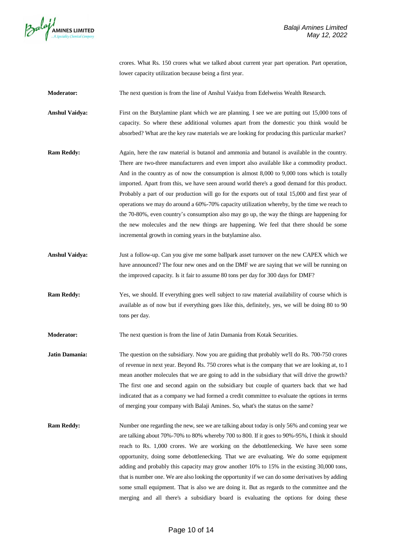

crores. What Rs. 150 crores what we talked about current year part operation. Part operation, lower capacity utilization because being a first year.

**Moderator:** The next question is from the line of Anshul Vaidya from Edelweiss Wealth Research.

**Anshul Vaidya:** First on the Butylamine plant which we are planning. I see we are putting out 15,000 tons of capacity. So where these additional volumes apart from the domestic you think would be absorbed? What are the key raw materials we are looking for producing this particular market?

- **Ram Reddy:** Again, here the raw material is butanol and ammonia and butanol is available in the country. There are two-three manufacturers and even import also available like a commodity product. And in the country as of now the consumption is almost 8,000 to 9,000 tons which is totally imported. Apart from this, we have seen around world there's a good demand for this product. Probably a part of our production will go for the exports out of total 15,000 and first year of operations we may do around a 60%-70% capacity utilization whereby, by the time we reach to the 70-80%, even country's consumption also may go up, the way the things are happening for the new molecules and the new things are happening. We feel that there should be some incremental growth in coming years in the butylamine also.
- **Anshul Vaidya:** Just a follow-up. Can you give me some ballpark asset turnover on the new CAPEX which we have announced? The four new ones and on the DMF we are saying that we will be running on the improved capacity. Is it fair to assume 80 tons per day for 300 days for DMF?
- **Ram Reddy:** Yes, we should. If everything goes well subject to raw material availability of course which is available as of now but if everything goes like this, definitely, yes, we will be doing 80 to 90 tons per day.

**Moderator:** The next question is from the line of Jatin Damania from Kotak Securities.

- **Jatin Damania:** The question on the subsidiary. Now you are guiding that probably we'll do Rs. 700-750 crores of revenue in next year. Beyond Rs. 750 crores what is the company that we are looking at, to I mean another molecules that we are going to add in the subsidiary that will drive the growth? The first one and second again on the subsidiary but couple of quarters back that we had indicated that as a company we had formed a credit committee to evaluate the options in terms of merging your company with Balaji Amines. So, what's the status on the same?
- **Ram Reddy:** Number one regarding the new, see we are talking about today is only 56% and coming year we are talking about 70%-70% to 80% whereby 700 to 800. If it goes to 90%-95%, I think it should reach to Rs. 1,000 crores. We are working on the debottlenecking. We have seen some opportunity, doing some debottlenecking. That we are evaluating. We do some equipment adding and probably this capacity may grow another 10% to 15% in the existing 30,000 tons, that is number one. We are also looking the opportunity if we can do some derivatives by adding some small equipment. That is also we are doing it. But as regards to the committee and the merging and all there's a subsidiary board is evaluating the options for doing these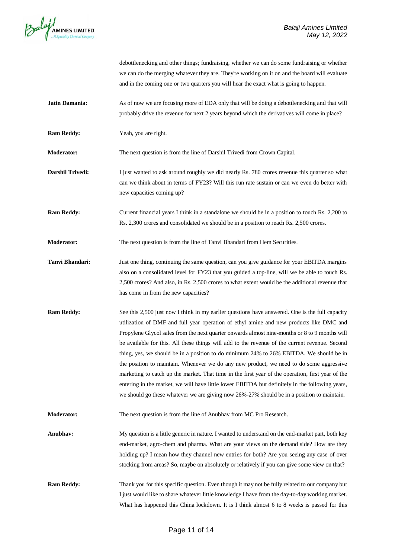

debottlenecking and other things; fundraising, whether we can do some fundraising or whether we can do the merging whatever they are. They're working on it on and the board will evaluate and in the coming one or two quarters you will hear the exact what is going to happen.

- **Jatin Damania:** As of now we are focusing more of EDA only that will be doing a debottlenecking and that will probably drive the revenue for next 2 years beyond which the derivatives will come in place?
- **Ram Reddy:** Yeah, you are right.

**Moderator:** The next question is from the line of Darshil Trivedi from Crown Capital.

- **Darshil Trivedi:** I just wanted to ask around roughly we did nearly Rs. 780 crores revenue this quarter so what can we think about in terms of FY23? Will this run rate sustain or can we even do better with new capacities coming up?
- **Ram Reddy:** Current financial years I think in a standalone we should be in a position to touch Rs. 2,200 to Rs. 2,300 crores and consolidated we should be in a position to reach Rs. 2,500 crores.

**Moderator:** The next question is from the line of Tanvi Bhandari from Hem Securities.

- **Tanvi Bhandari:** Just one thing, continuing the same question, can you give guidance for your EBITDA margins also on a consolidated level for FY23 that you guided a top-line, will we be able to touch Rs. 2,500 crores? And also, in Rs. 2,500 crores to what extent would be the additional revenue that has come in from the new capacities?
- **Ram Reddy:** See this 2,500 just now I think in my earlier questions have answered. One is the full capacity utilization of DMF and full year operation of ethyl amine and new products like DMC and Propylene Glycol sales from the next quarter onwards almost nine-months or 8 to 9 months will be available for this. All these things will add to the revenue of the current revenue. Second thing, yes, we should be in a position to do minimum 24% to 26% EBITDA. We should be in the position to maintain. Whenever we do any new product, we need to do some aggressive marketing to catch up the market. That time in the first year of the operation, first year of the entering in the market, we will have little lower EBITDA but definitely in the following years, we should go these whatever we are giving now 26%-27% should be in a position to maintain.
- **Moderator:** The next question is from the line of Anubhav from MC Pro Research.
- **Anubhav:** My question is a little generic in nature. I wanted to understand on the end-market part, both key end-market, agro-chem and pharma. What are your views on the demand side? How are they holding up? I mean how they channel new entries for both? Are you seeing any case of over stocking from areas? So, maybe on absolutely or relatively if you can give some view on that?
- **Ram Reddy:** Thank you for this specific question. Even though it may not be fully related to our company but I just would like to share whatever little knowledge I have from the day-to-day working market. What has happened this China lockdown. It is I think almost 6 to 8 weeks is passed for this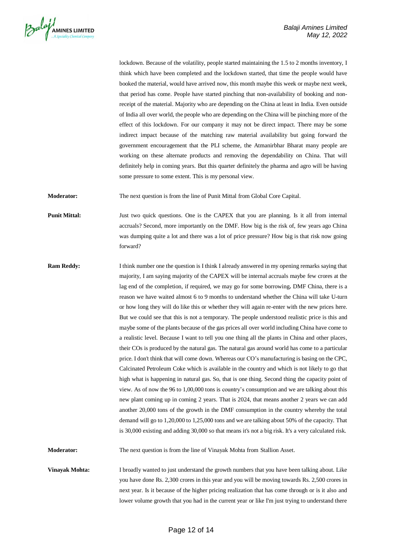

lockdown. Because of the volatility, people started maintaining the 1.5 to 2 months inventory, I think which have been completed and the lockdown started, that time the people would have booked the material, would have arrived now, this month maybe this week or maybe next week, that period has come. People have started pinching that non-availability of booking and nonreceipt of the material. Majority who are depending on the China at least in India. Even outside of India all over world, the people who are depending on the China will be pinching more of the effect of this lockdown. For our company it may not be direct impact. There may be some indirect impact because of the matching raw material availability but going forward the government encouragement that the PLI scheme, the Atmanirbhar Bharat many people are working on these alternate products and removing the dependability on China. That will definitely help in coming years. But this quarter definitely the pharma and agro will be having some pressure to some extent. This is my personal view.

**Moderator:** The next question is from the line of Punit Mittal from Global Core Capital.

**Punit Mittal:** Just two quick questions. One is the CAPEX that you are planning. Is it all from internal accruals? Second, more importantly on the DMF. How big is the risk of, few years ago China was dumping quite a lot and there was a lot of price pressure? How big is that risk now going forward?

**Ram Reddy:** I think number one the question is I think I already answered in my opening remarks saying that majority, I am saying majority of the CAPEX will be internal accruals maybe few crores at the lag end of the completion, if required, we may go for some borrowing**.** DMF China, there is a reason we have waited almost 6 to 9 months to understand whether the China will take U-turn or how long they will do like this or whether they will again re-enter with the new prices here. But we could see that this is not a temporary. The people understood realistic price is this and maybe some of the plants because of the gas prices all over world including China have come to a realistic level. Because I want to tell you one thing all the plants in China and other places, their COs is produced by the natural gas. The natural gas around world has come to a particular price. I don't think that will come down. Whereas our CO's manufacturing is basing on the CPC, Calcinated Petroleum Coke which is available in the country and which is not likely to go that high what is happening in natural gas. So, that is one thing. Second thing the capacity point of view. As of now the 96 to 1,00,000 tons is country's consumption and we are talking about this new plant coming up in coming 2 years. That is 2024, that means another 2 years we can add another 20,000 tons of the growth in the DMF consumption in the country whereby the total demand will go to 1,20,000 to 1,25,000 tons and we are talking about 50% of the capacity. That is 30,000 existing and adding 30,000 so that means it's not a big risk. It's a very calculated risk.

**Moderator:** The next question is from the line of Vinayak Mohta from Stallion Asset.

**Vinayak Mohta:** I broadly wanted to just understand the growth numbers that you have been talking about. Like you have done Rs. 2,300 crores in this year and you will be moving towards Rs. 2,500 crores in next year. Is it because of the higher pricing realization that has come through or is it also and lower volume growth that you had in the current year or like I'm just trying to understand there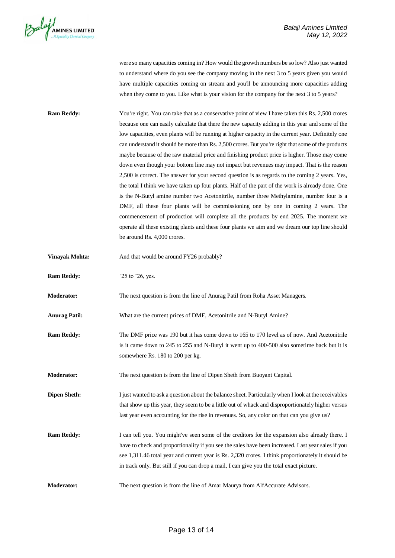

were so many capacities coming in? How would the growth numbers be so low? Also just wanted to understand where do you see the company moving in the next 3 to 5 years given you would have multiple capacities coming on stream and you'll be announcing more capacities adding when they come to you. Like what is your vision for the company for the next 3 to 5 years?

- **Ram Reddy:** You're right. You can take that as a conservative point of view I have taken this Rs. 2,500 crores because one can easily calculate that there the new capacity adding in this year and some of the low capacities, even plants will be running at higher capacity in the current year. Definitely one can understand it should be more than Rs. 2,500 crores. But you're right that some of the products maybe because of the raw material price and finishing product price is higher. Those may come down even though your bottom line may not impact but revenues may impact. That is the reason 2,500 is correct. The answer for your second question is as regards to the coming 2 years. Yes, the total I think we have taken up four plants. Half of the part of the work is already done. One is the N-Butyl amine number two Acetonitrile, number three Methylamine, number four is a DMF, all these four plants will be commissioning one by one in coming 2 years. The commencement of production will complete all the products by end 2025. The moment we operate all these existing plants and these four plants we aim and we dream our top line should be around Rs. 4,000 crores.
- **Vinayak Mohta:** And that would be around FY26 probably?
- **Ram Reddy:** '25 to '26, yes.

**Moderator:** The next question is from the line of Anurag Patil from Roha Asset Managers.

- **Anurag Patil:** What are the current prices of DMF, Acetonitrile and N-Butyl Amine?
- **Ram Reddy:** The DMF price was 190 but it has come down to 165 to 170 level as of now. And Acetonitrile is it came down to 245 to 255 and N-Butyl it went up to 400-500 also sometime back but it is somewhere Rs. 180 to 200 per kg.

**Moderator:** The next question is from the line of Dipen Sheth from Buoyant Capital.

**Dipen Sheth:** I just wanted to ask a question about the balance sheet. Particularly when I look at the receivables that show up this year, they seem to be a little out of whack and disproportionately higher versus last year even accounting for the rise in revenues. So, any color on that can you give us?

**Ram Reddy:** I can tell you. You might've seen some of the creditors for the expansion also already there. I have to check and proportionality if you see the sales have been increased. Last year sales if you see 1,311.46 total year and current year is Rs. 2,320 crores. I think proportionately it should be in track only. But still if you can drop a mail, I can give you the total exact picture.

**Moderator:** The next question is from the line of Amar Maurya from AlfAccurate Advisors.